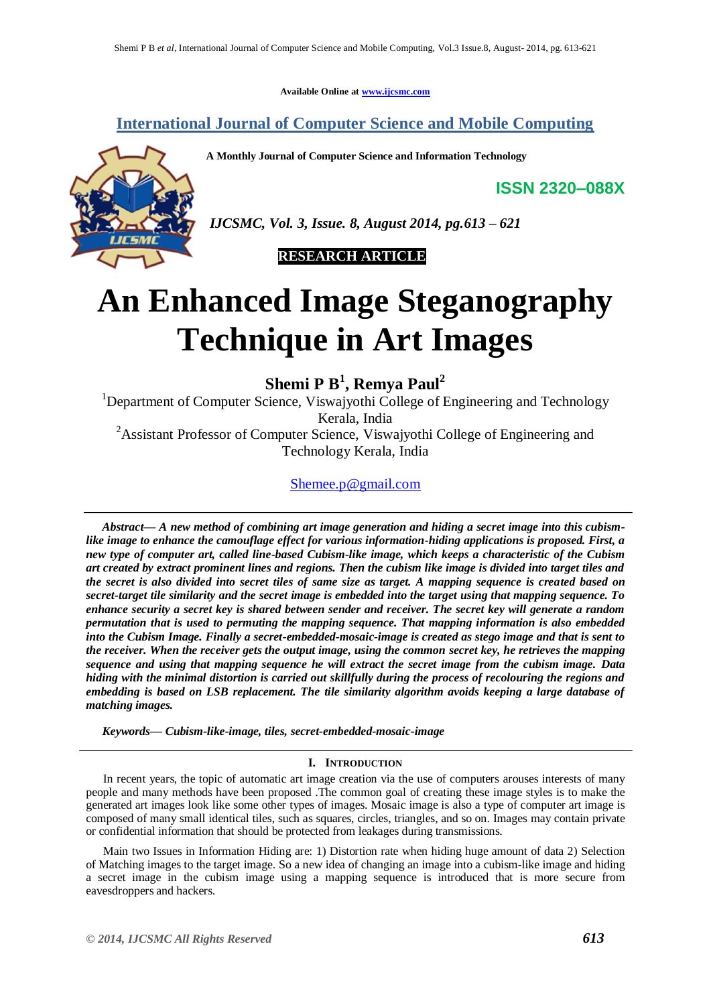**Available Online at www.ijcsmc.com**

# **International Journal of Computer Science and Mobile Computing**

**A Monthly Journal of Computer Science and Information Technology**

**ISSN 2320–088X**



*IJCSMC, Vol. 3, Issue. 8, August 2014, pg.613 – 621*

 **RESEARCH ARTICLE**

# **An Enhanced Image Steganography Technique in Art Images**

**Shemi P B<sup>1</sup> , Remya Paul<sup>2</sup>**

<sup>1</sup>Department of Computer Science, Viswajyothi College of Engineering and Technology Kerala, India <sup>2</sup>Assistant Professor of Computer Science, Viswajyothi College of Engineering and

Technology Kerala, India

Shemee.p@gmail.com

*Abstract***—** *A new method of combining art image generation and hiding a secret image into this cubismlike image to enhance the camouflage effect for various information-hiding applications is proposed. First, a new type of computer art, called line-based Cubism-like image, which keeps a characteristic of the Cubism art created by extract prominent lines and regions. Then the cubism like image is divided into target tiles and the secret is also divided into secret tiles of same size as target. A mapping sequence is created based on secret-target tile similarity and the secret image is embedded into the target using that mapping sequence. To enhance security a secret key is shared between sender and receiver. The secret key will generate a random permutation that is used to permuting the mapping sequence. That mapping information is also embedded into the Cubism Image. Finally a secret-embedded-mosaic-image is created as stego image and that is sent to the receiver. When the receiver gets the output image, using the common secret key, he retrieves the mapping sequence and using that mapping sequence he will extract the secret image from the cubism image. Data hiding with the minimal distortion is carried out skillfully during the process of recolouring the regions and embedding is based on LSB replacement. The tile similarity algorithm avoids keeping a large database of matching images.*

*Keywords***—** *Cubism-like-image, tiles, secret-embedded-mosaic-image*

# **I. INTRODUCTION**

In recent years, the topic of automatic art image creation via the use of computers arouses interests of many people and many methods have been proposed .The common goal of creating these image styles is to make the generated art images look like some other types of images. Mosaic image is also a type of computer art image is composed of many small identical tiles, such as squares, circles, triangles, and so on. Images may contain private or confidential information that should be protected from leakages during transmissions.

Main two Issues in Information Hiding are: 1) Distortion rate when hiding huge amount of data 2) Selection of Matching images to the target image. So a new idea of changing an image into a cubism-like image and hiding a secret image in the cubism image using a mapping sequence is introduced that is more secure from eavesdroppers and hackers.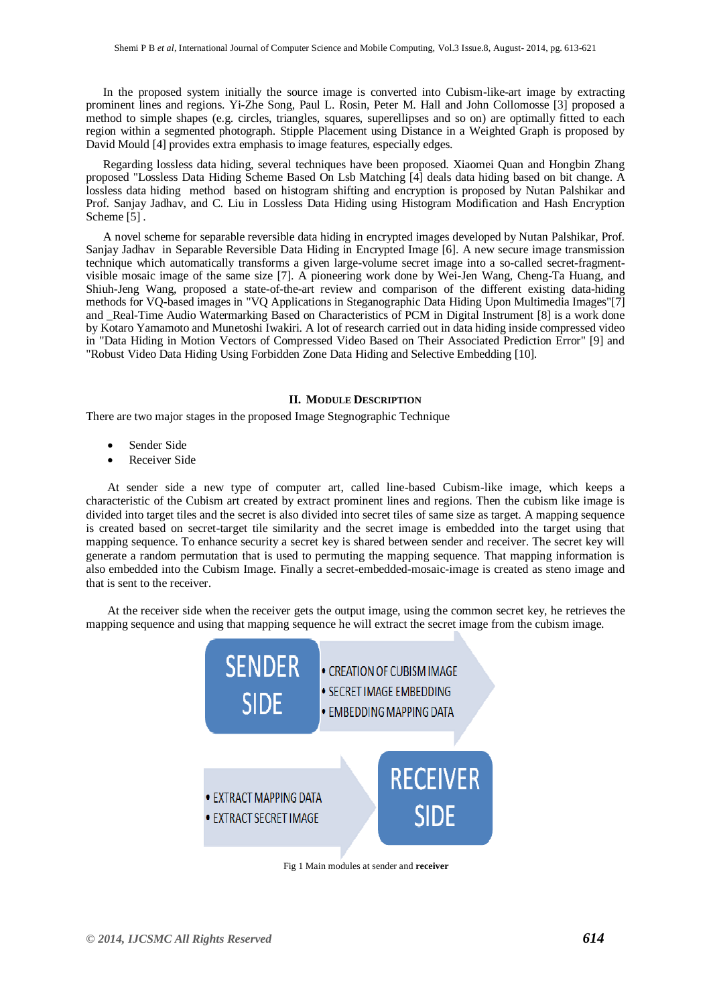In the proposed system initially the source image is converted into Cubism-like-art image by extracting prominent lines and regions. Yi-Zhe Song, Paul L. Rosin, Peter M. Hall and John Collomosse [3] proposed a method to simple shapes (e.g. circles, triangles, squares, superellipses and so on) are optimally fitted to each region within a segmented photograph. Stipple Placement using Distance in a Weighted Graph is proposed by David Mould [4] provides extra emphasis to image features, especially edges.

Regarding lossless data hiding, several techniques have been proposed. Xiaomei Quan and Hongbin Zhang proposed "Lossless Data Hiding Scheme Based On Lsb Matching [4] deals data hiding based on bit change. A lossless data hiding method based on histogram shifting and encryption is proposed by Nutan Palshikar and Prof. Sanjay Jadhav, and C. Liu in Lossless Data Hiding using Histogram Modification and Hash Encryption Scheme [5].

A novel scheme for separable reversible data hiding in encrypted images developed by Nutan Palshikar, Prof. Sanjay Jadhav in Separable Reversible Data Hiding in Encrypted Image [6]. A new secure image transmission technique which automatically transforms a given large-volume secret image into a so-called secret-fragmentvisible mosaic image of the same size [7]. A pioneering work done by Wei-Jen Wang, Cheng-Ta Huang, and Shiuh-Jeng Wang, proposed a state-of-the-art review and comparison of the different existing data-hiding methods for VQ-based images in "VQ Applications in Steganographic Data Hiding Upon Multimedia Images"[7] and Real-Time Audio Watermarking Based on Characteristics of PCM in Digital Instrument [8] is a work done by Kotaro Yamamoto and Munetoshi Iwakiri. A lot of research carried out in data hiding inside compressed video in "Data Hiding in Motion Vectors of Compressed Video Based on Their Associated Prediction Error" [9] and "Robust Video Data Hiding Using Forbidden Zone Data Hiding and Selective Embedding [10].

# **II. MODULE DESCRIPTION**

There are two major stages in the proposed Image Stegnographic Technique

- Sender Side
- Receiver Side

At sender side a new type of computer art, called line-based Cubism-like image, which keeps a characteristic of the Cubism art created by extract prominent lines and regions. Then the cubism like image is divided into target tiles and the secret is also divided into secret tiles of same size as target. A mapping sequence is created based on secret-target tile similarity and the secret image is embedded into the target using that mapping sequence. To enhance security a secret key is shared between sender and receiver. The secret key will generate a random permutation that is used to permuting the mapping sequence. That mapping information is also embedded into the Cubism Image. Finally a secret-embedded-mosaic-image is created as steno image and that is sent to the receiver.

At the receiver side when the receiver gets the output image, using the common secret key, he retrieves the mapping sequence and using that mapping sequence he will extract the secret image from the cubism image.



Fig 1 Main modules at sender and **receiver**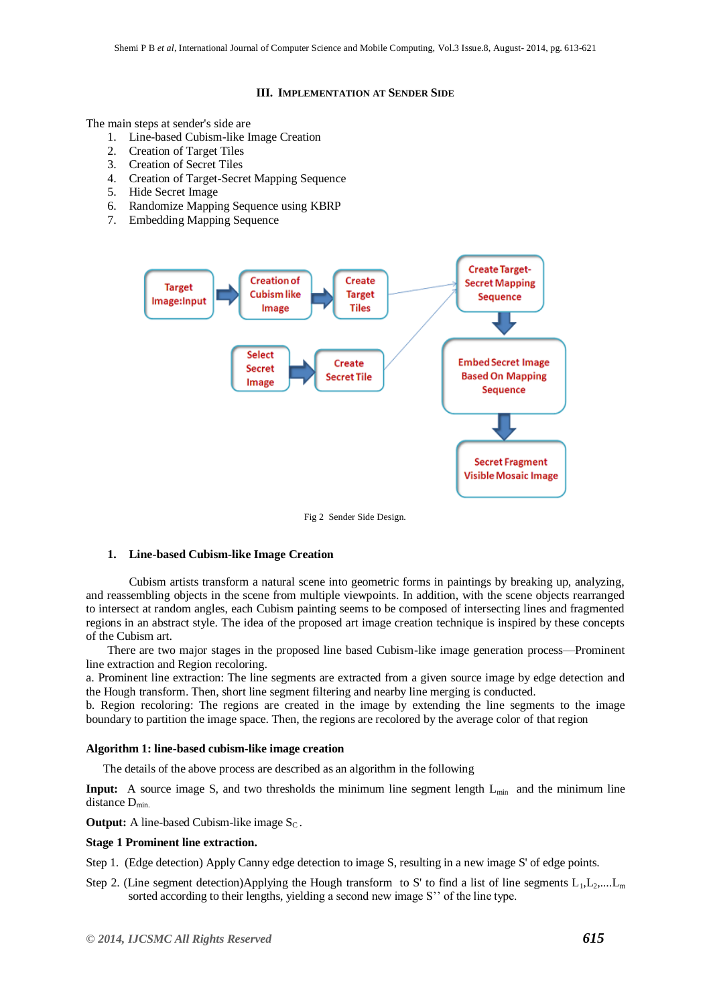#### **III. IMPLEMENTATION AT SENDER SIDE**

The main steps at sender's side are

- 1. Line-based Cubism-like Image Creation
- 2. Creation of Target Tiles
- 3. Creation of Secret Tiles
- 4. Creation of Target-Secret Mapping Sequence
- 5. Hide Secret Image
- 6. Randomize Mapping Sequence using KBRP
- 7. Embedding Mapping Sequence



Fig 2 Sender Side Design.

# **1. Line-based Cubism-like Image Creation**

Cubism artists transform a natural scene into geometric forms in paintings by breaking up, analyzing, and reassembling objects in the scene from multiple viewpoints. In addition, with the scene objects rearranged to intersect at random angles, each Cubism painting seems to be composed of intersecting lines and fragmented regions in an abstract style. The idea of the proposed art image creation technique is inspired by these concepts of the Cubism art.

There are two major stages in the proposed line based Cubism-like image generation process—Prominent line extraction and Region recoloring.

a. Prominent line extraction: The line segments are extracted from a given source image by edge detection and the Hough transform. Then, short line segment filtering and nearby line merging is conducted.

b. Region recoloring: The regions are created in the image by extending the line segments to the image boundary to partition the image space. Then, the regions are recolored by the average color of that region

#### **Algorithm 1: line-based cubism-like image creation**

The details of the above process are described as an algorithm in the following

**Input:** A source image S, and two thresholds the minimum line segment length  $L_{\text{min}}$  and the minimum line distance D<sub>min.</sub>

**Output:** A line-based Cubism-like image  $S_C$ .

#### **Stage 1 Prominent line extraction.**

Step 1. (Edge detection) Apply Canny edge detection to image S, resulting in a new image S' of edge points.

Step 2. (Line segment detection)Applying the Hough transform to S' to find a list of line segments  $L_1, L_2, \ldots, L_m$ sorted according to their lengths, yielding a second new image S'' of the line type.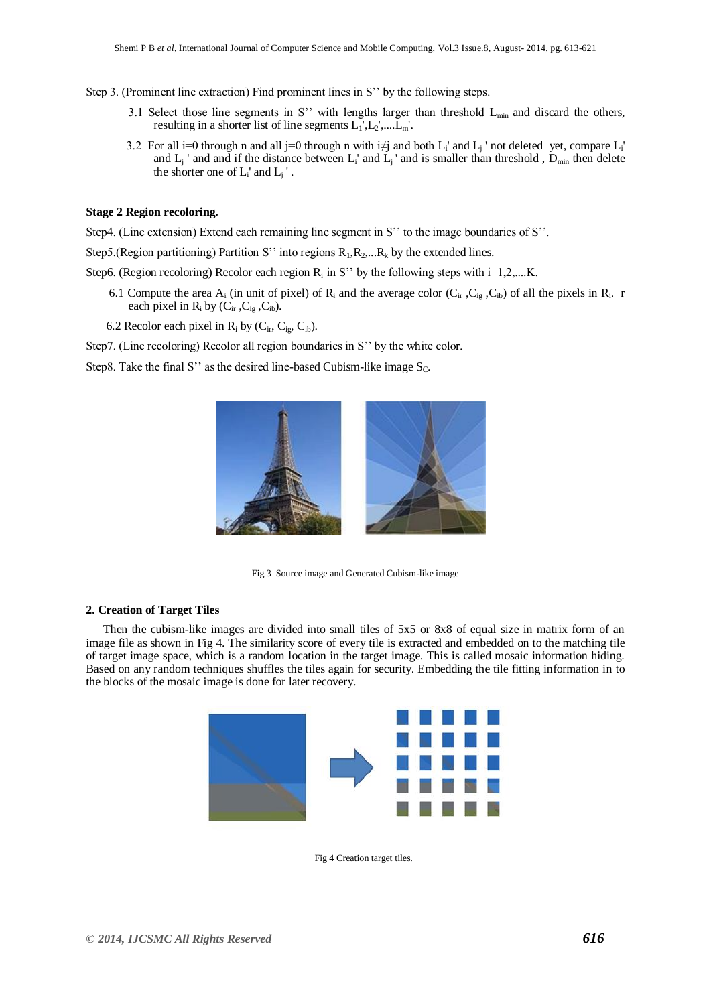Step 3. (Prominent line extraction) Find prominent lines in S'' by the following steps.

- 3.1 Select those line segments in S'' with lengths larger than threshold  $L_{min}$  and discard the others, resulting in a shorter list of line segments  $L_1, L_2, \ldots, L_m$ .
- 3.2 For all i=0 through n and all j=0 through n with i $\neq$  j and both L<sub>i</sub> and L<sub>j</sub> ' not deleted yet, compare L<sub>i</sub> and  $L_j$  and and if the distance between  $L_i$  and  $L_j$  and is smaller than threshold,  $D_{min}$  then delete the shorter one of  $L_i$ ' and  $L_j$ '.

#### **Stage 2 Region recoloring.**

Step4. (Line extension) Extend each remaining line segment in S'' to the image boundaries of S''.

Step5.(Region partitioning) Partition S'' into regions  $R_1, R_2, ... R_k$  by the extended lines.

Step6. (Region recoloring) Recolor each region  $R_i$  in S" by the following steps with  $i=1,2,...K$ .

6.1 Compute the area  $A_i$  (in unit of pixel) of  $R_i$  and the average color  $(C_{ir}, C_{ig}, C_{ib})$  of all the pixels in  $R_i$ . r each pixel in  $R_i$  by  $(C_{ir}, C_{ig}, C_{ib})$ .

6.2 Recolor each pixel in  $R_i$  by  $(C_{ir}, C_{ig}, C_{ib})$ .

Step7. (Line recoloring) Recolor all region boundaries in S'' by the white color.

Step8. Take the final S'' as the desired line-based Cubism-like image  $S_C$ .



Fig 3 Source image and Generated Cubism-like image

# **2. Creation of Target Tiles**

Then the cubism-like images are divided into small tiles of 5x5 or 8x8 of equal size in matrix form of an image file as shown in Fig 4. The similarity score of every tile is extracted and embedded on to the matching tile of target image space, which is a random location in the target image. This is called mosaic information hiding. Based on any random techniques shuffles the tiles again for security. Embedding the tile fitting information in to the blocks of the mosaic image is done for later recovery.



Fig 4 Creation target tiles.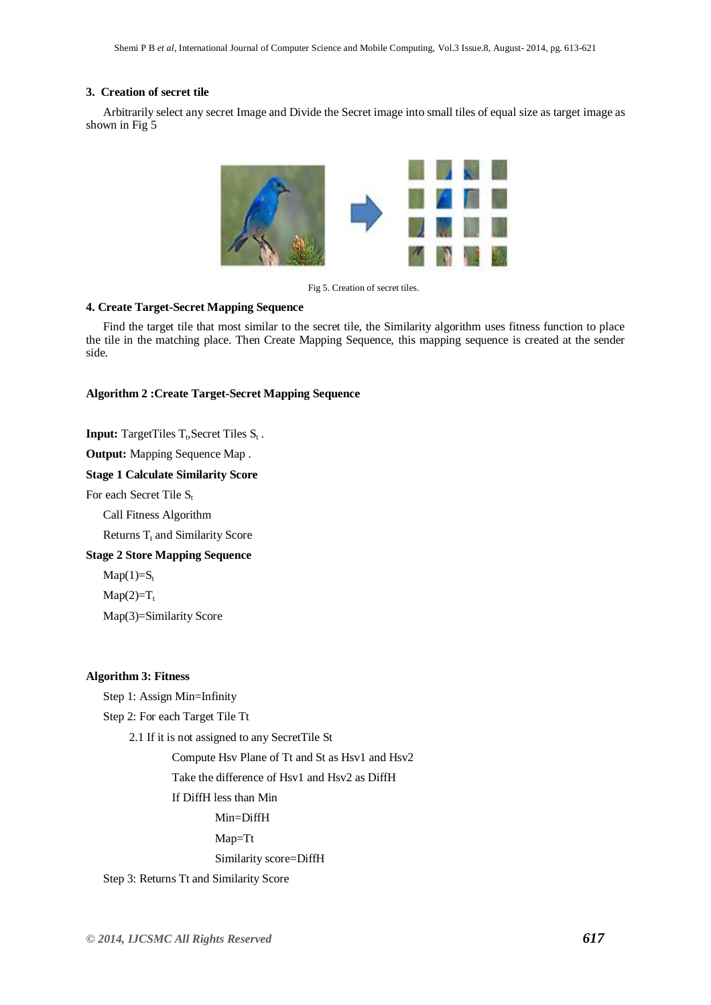# **3. Creation of secret tile**

Arbitrarily select any secret Image and Divide the Secret image into small tiles of equal size as target image as shown in Fig 5



Fig 5. Creation of secret tiles.

# **4. Create Target-Secret Mapping Sequence**

Find the target tile that most similar to the secret tile, the Similarity algorithm uses fitness function to place the tile in the matching place. Then Create Mapping Sequence, this mapping sequence is created at the sender side.

# **Algorithm 2 :Create Target-Secret Mapping Sequence**

**Input:** TargetTiles  $T_t$ , Secret Tiles  $S_t$ .

**Output:** Mapping Sequence Map .

#### **Stage 1 Calculate Similarity Score**

For each Secret Tile  $S_t$ 

Call Fitness Algorithm

Returns  $T_t$  and Similarity Score

**Stage 2 Store Mapping Sequence**

 $Map(1)=S_t$ 

 $Map(2)=T_t$ 

Map(3)=Similarity Score

# **Algorithm 3: Fitness**

Step 1: Assign Min=Infinity Step 2: For each Target Tile Tt 2.1 If it is not assigned to any SecretTile St Compute Hsv Plane of Tt and St as Hsv1 and Hsv2 Take the difference of Hsv1 and Hsv2 as DiffH If DiffH less than Min Min=DiffH Map=Tt Similarity score=DiffH Step 3: Returns Tt and Similarity Score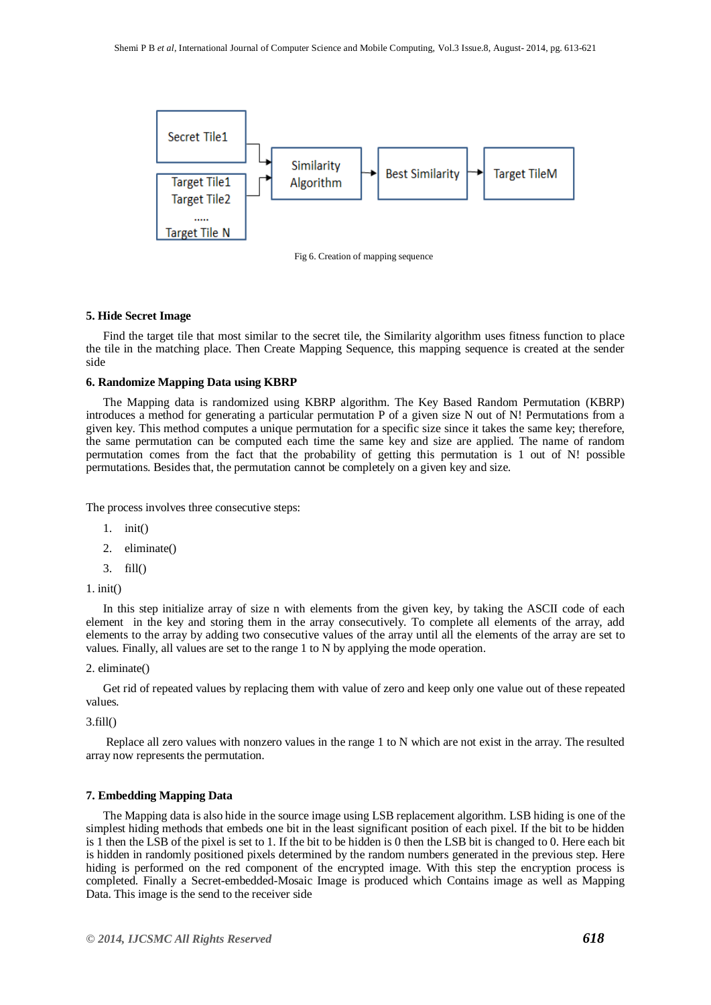



#### **5. Hide Secret Image**

Find the target tile that most similar to the secret tile, the Similarity algorithm uses fitness function to place the tile in the matching place. Then Create Mapping Sequence, this mapping sequence is created at the sender side

#### **6. Randomize Mapping Data using KBRP**

The Mapping data is randomized using KBRP algorithm. The Key Based Random Permutation (KBRP) introduces a method for generating a particular permutation P of a given size N out of N! Permutations from a given key. This method computes a unique permutation for a specific size since it takes the same key; therefore, the same permutation can be computed each time the same key and size are applied. The name of random permutation comes from the fact that the probability of getting this permutation is 1 out of N! possible permutations. Besides that, the permutation cannot be completely on a given key and size.

The process involves three consecutive steps:

- 1. init()
- 2. eliminate()
- 3. fill()

```
1. init()
```
In this step initialize array of size n with elements from the given key, by taking the ASCII code of each element in the key and storing them in the array consecutively. To complete all elements of the array, add elements to the array by adding two consecutive values of the array until all the elements of the array are set to values. Finally, all values are set to the range 1 to N by applying the mode operation.

2. eliminate()

Get rid of repeated values by replacing them with value of zero and keep only one value out of these repeated values.

3.fill()

Replace all zero values with nonzero values in the range 1 to N which are not exist in the array. The resulted array now represents the permutation.

#### **7. Embedding Mapping Data**

The Mapping data is also hide in the source image using LSB replacement algorithm. LSB hiding is one of the simplest hiding methods that embeds one bit in the least significant position of each pixel. If the bit to be hidden is 1 then the LSB of the pixel is set to 1. If the bit to be hidden is 0 then the LSB bit is changed to 0. Here each bit is hidden in randomly positioned pixels determined by the random numbers generated in the previous step. Here hiding is performed on the red component of the encrypted image. With this step the encryption process is completed. Finally a Secret-embedded-Mosaic Image is produced which Contains image as well as Mapping Data. This image is the send to the receiver side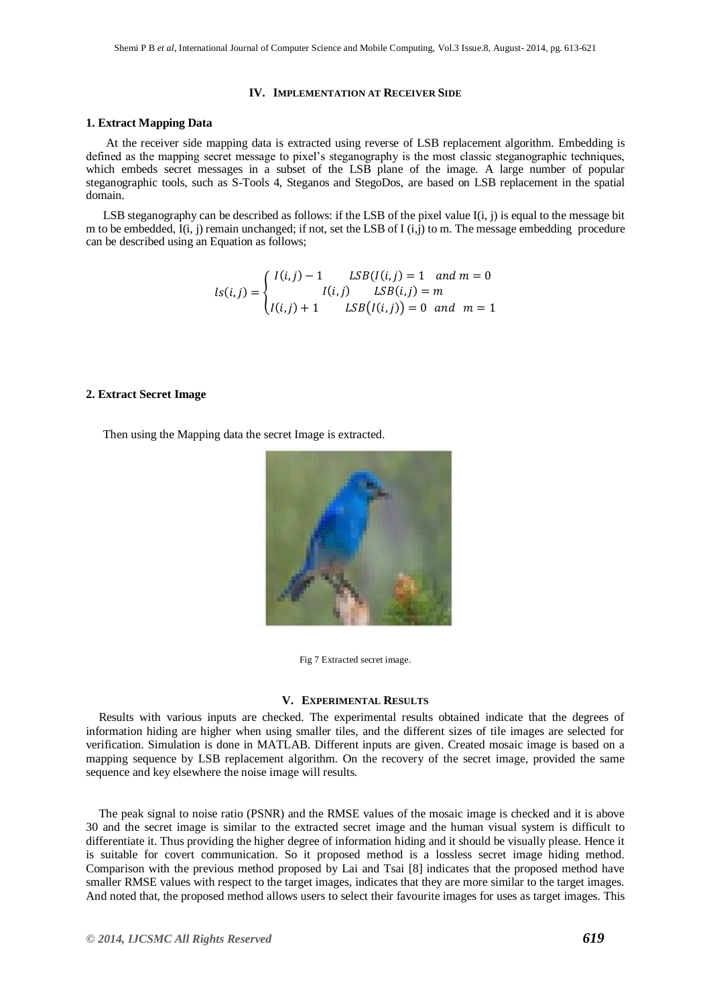#### **IV. IMPLEMENTATION AT RECEIVER SIDE**

### **1. Extract Mapping Data**

At the receiver side mapping data is extracted using reverse of LSB replacement algorithm. Embedding is defined as the mapping secret message to pixel's steganography is the most classic steganographic techniques, which embeds secret messages in a subset of the LSB plane of the image. A large number of popular steganographic tools, such as S-Tools 4, Steganos and StegoDos, are based on LSB replacement in the spatial domain.

LSB steganography can be described as follows: if the LSB of the pixel value I(i, j) is equal to the message bit m to be embedded,  $\overline{I(i, j)}$  remain unchanged; if not, set the LSB of  $I(i,j)$  to m. The message embedding procedure can be described using an Equation as follows;

$$
ls(i,j) = \begin{cases} l(i,j) - 1 & LSB(l(i,j) = 1 & and m = 0 \\ l(i,j) & LSB(i,j) = m \\ l(i,j) + 1 & LSB(l(i,j)) = 0 & and m = 1 \end{cases}
$$

#### **2. Extract Secret Image**

Then using the Mapping data the secret Image is extracted.





# **V. EXPERIMENTAL RESULTS**

Results with various inputs are checked. The experimental results obtained indicate that the degrees of information hiding are higher when using smaller tiles, and the different sizes of tile images are selected for verification. Simulation is done in MATLAB. Different inputs are given. Created mosaic image is based on a mapping sequence by LSB replacement algorithm. On the recovery of the secret image, provided the same sequence and key elsewhere the noise image will results.

The peak signal to noise ratio (PSNR) and the RMSE values of the mosaic image is checked and it is above 30 and the secret image is similar to the extracted secret image and the human visual system is difficult to differentiate it. Thus providing the higher degree of information hiding and it should be visually please. Hence it is suitable for covert communication. So it proposed method is a lossless secret image hiding method. Comparison with the previous method proposed by Lai and Tsai [8] indicates that the proposed method have smaller RMSE values with respect to the target images, indicates that they are more similar to the target images. And noted that, the proposed method allows users to select their favourite images for uses as target images. This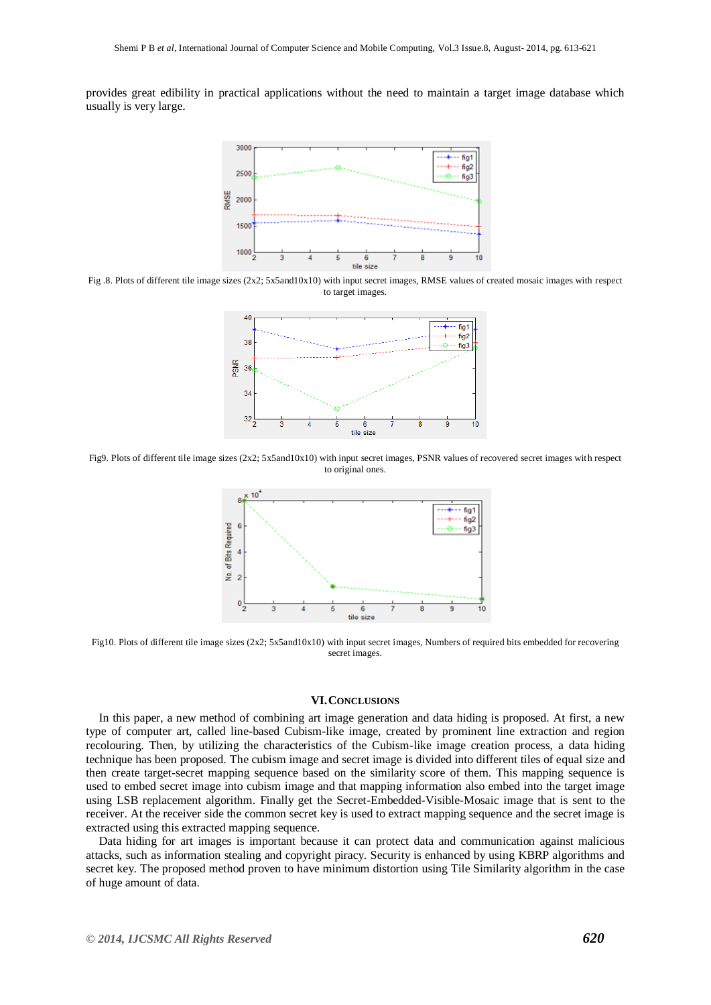provides great edibility in practical applications without the need to maintain a target image database which usually is very large.



Fig .8. Plots of different tile image sizes (2x2; 5x5and10x10) with input secret images, RMSE values of created mosaic images with respect to target images.



Fig9. Plots of different tile image sizes (2x2; 5x5and10x10) with input secret images, PSNR values of recovered secret images with respect to original ones.



Fig10. Plots of different tile image sizes (2x2; 5x5and10x10) with input secret images, Numbers of required bits embedded for recovering secret images.

# **VI.CONCLUSIONS**

In this paper, a new method of combining art image generation and data hiding is proposed. At first, a new type of computer art, called line-based Cubism-like image, created by prominent line extraction and region recolouring. Then, by utilizing the characteristics of the Cubism-like image creation process, a data hiding technique has been proposed. The cubism image and secret image is divided into different tiles of equal size and then create target-secret mapping sequence based on the similarity score of them. This mapping sequence is used to embed secret image into cubism image and that mapping information also embed into the target image using LSB replacement algorithm. Finally get the Secret-Embedded-Visible-Mosaic image that is sent to the receiver. At the receiver side the common secret key is used to extract mapping sequence and the secret image is extracted using this extracted mapping sequence.

Data hiding for art images is important because it can protect data and communication against malicious attacks, such as information stealing and copyright piracy. Security is enhanced by using KBRP algorithms and secret key. The proposed method proven to have minimum distortion using Tile Similarity algorithm in the case of huge amount of data.